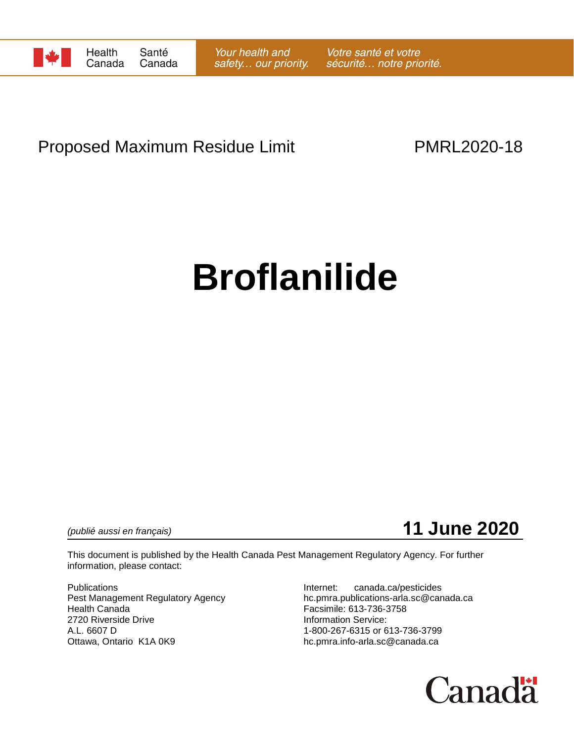

# Proposed Maximum Residue Limit **PMRL2020-18**

# **Broflanilide**

*(publié aussi en français)* **11 June 2020**

This document is published by the Health Canada Pest Management Regulatory Agency. For further information, please contact:

Publications **Internet:** canada.ca/pesticides 2720 Riverside Drive A.L. 6607 D<br>Ottawa, Ontario K1A 0K9 Delta Controller School of the head of 1-800-267-6315 or 613-736-3799<br>hc.pmra.info-arla.sc@canada.ca

Pest Management Regulatory Agency hc.pmra.publications-arla.sc@canada.ca<br>Health Canada<br>Facsimile: 613-736-3758 Facsimile: 613-736-3758<br>Information Service: hc.pmra.info-arla.sc@canada.ca

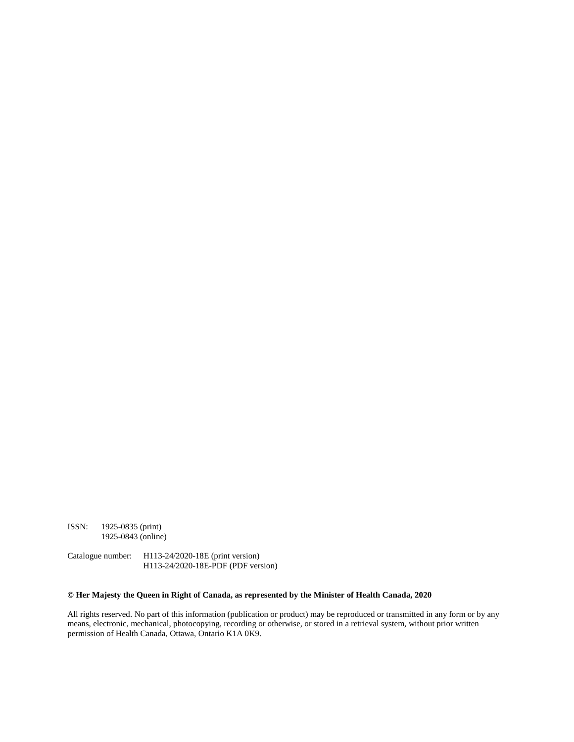ISSN: 1925-0835 (print) 1925-0843 (online)

Catalogue number: H113-24/2020-18E (print version) H113-24/2020-18E-PDF (PDF version)

#### **© Her Majesty the Queen in Right of Canada, as represented by the Minister of Health Canada, 2020**

All rights reserved. No part of this information (publication or product) may be reproduced or transmitted in any form or by any means, electronic, mechanical, photocopying, recording or otherwise, or stored in a retrieval system, without prior written permission of Health Canada, Ottawa, Ontario K1A 0K9.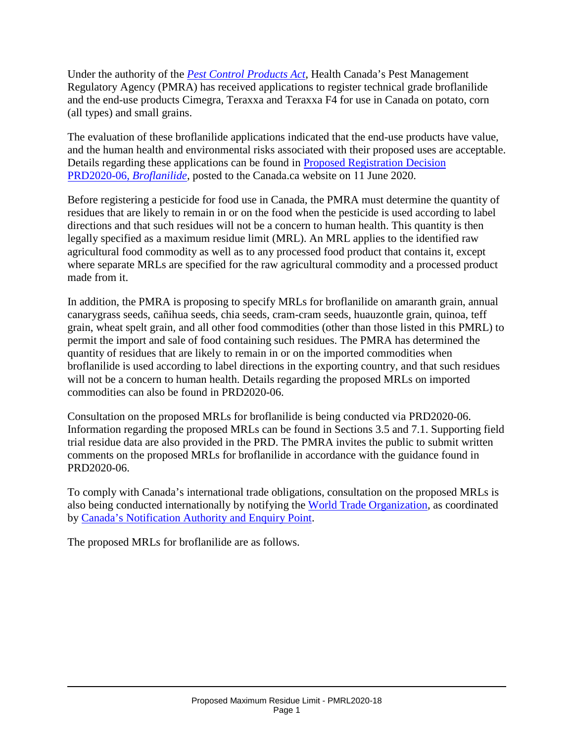Under the authority of the *[Pest Control Products Act](http://laws-lois.justice.gc.ca/eng/acts/P-9.01/)*, Health Canada's Pest Management Regulatory Agency (PMRA) has received applications to register technical grade broflanilide and the end-use products Cimegra, Teraxxa and Teraxxa F4 for use in Canada on potato, corn (all types) and small grains.

The evaluation of these broflanilide applications indicated that the end-use products have value, and the human health and environmental risks associated with their proposed uses are acceptable. Details regarding these applications can be found in [Proposed Registration Decision](https://www.canada.ca/en/health-canada/services/consumer-product-safety/pesticides-pest-management/public/consultations.html)  [PRD2020-06,](https://www.canada.ca/en/health-canada/services/consumer-product-safety/pesticides-pest-management/public/consultations.html) *Broflanilide*, posted to the Canada.ca website on 11 June 2020.

Before registering a pesticide for food use in Canada, the PMRA must determine the quantity of residues that are likely to remain in or on the food when the pesticide is used according to label directions and that such residues will not be a concern to human health. This quantity is then legally specified as a maximum residue limit (MRL). An MRL applies to the identified raw agricultural food commodity as well as to any processed food product that contains it, except where separate MRLs are specified for the raw agricultural commodity and a processed product made from it.

In addition, the PMRA is proposing to specify MRLs for broflanilide on amaranth grain, annual canarygrass seeds, cañihua seeds, chia seeds, cram-cram seeds, huauzontle grain, quinoa, teff grain, wheat spelt grain, and all other food commodities (other than those listed in this PMRL) to permit the import and sale of food containing such residues. The PMRA has determined the quantity of residues that are likely to remain in or on the imported commodities when broflanilide is used according to label directions in the exporting country, and that such residues will not be a concern to human health. Details regarding the proposed MRLs on imported commodities can also be found in PRD2020-06.

Consultation on the proposed MRLs for broflanilide is being conducted via PRD2020-06. Information regarding the proposed MRLs can be found in Sections 3.5 and 7.1. Supporting field trial residue data are also provided in the PRD. The PMRA invites the public to submit written comments on the proposed MRLs for broflanilide in accordance with the guidance found in PRD2020-06.

To comply with Canada's international trade obligations, consultation on the proposed MRLs is also being conducted internationally by notifying the [World Trade Organization,](http://www.wto.org/) as coordinated by [Canada's Notification Authority and Enquiry Point.](http://www.international.gc.ca/trade-agreements-accords-commerciaux/wto-omc/enquiry.aspx?lang=eng)

The proposed MRLs for broflanilide are as follows.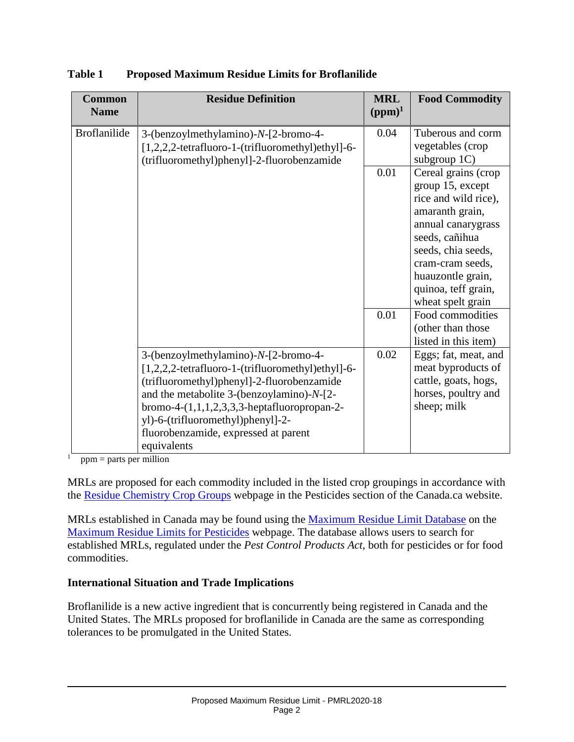| <b>Common</b><br><b>Name</b> | <b>Residue Definition</b>                                                                                                                                                                                                                                                                                                            | <b>MRL</b><br>$(ppm)^1$ | <b>Food Commodity</b>                                                                                                                                                                                                                 |
|------------------------------|--------------------------------------------------------------------------------------------------------------------------------------------------------------------------------------------------------------------------------------------------------------------------------------------------------------------------------------|-------------------------|---------------------------------------------------------------------------------------------------------------------------------------------------------------------------------------------------------------------------------------|
| <b>Broflanilide</b>          | 3-(benzoylmethylamino)-N-[2-bromo-4-<br>[1,2,2,2-tetrafluoro-1-(trifluoromethyl)ethyl]-6-<br>(trifluoromethyl)phenyl]-2-fluorobenzamide                                                                                                                                                                                              | 0.04                    | Tuberous and corm<br>vegetables (crop<br>subgroup $1C$ )                                                                                                                                                                              |
|                              |                                                                                                                                                                                                                                                                                                                                      | 0.01                    | Cereal grains (crop<br>group 15, except<br>rice and wild rice),<br>amaranth grain,<br>annual canarygrass<br>seeds, cañihua<br>seeds, chia seeds,<br>cram-cram seeds,<br>huauzontle grain,<br>quinoa, teff grain,<br>wheat spelt grain |
|                              |                                                                                                                                                                                                                                                                                                                                      | 0.01                    | Food commodities<br>(other than those<br>listed in this item)                                                                                                                                                                         |
|                              | 3-(benzoylmethylamino)-N-[2-bromo-4-<br>[1,2,2,2-tetrafluoro-1-(trifluoromethyl)ethyl]-6-<br>(trifluoromethyl)phenyl]-2-fluorobenzamide<br>and the metabolite 3-(benzoylamino)-N-[2-<br>bromo-4- $(1,1,1,2,3,3,3)$ -heptafluoropropan-2-<br>yl)-6-(trifluoromethyl)phenyl]-2-<br>fluorobenzamide, expressed at parent<br>equivalents | 0.02                    | Eggs; fat, meat, and<br>meat byproducts of<br>cattle, goats, hogs,<br>horses, poultry and<br>sheep; milk                                                                                                                              |

**Table 1 Proposed Maximum Residue Limits for Broflanilide**

 $\frac{1}{\text{ppm}}$  = parts per million

MRLs are proposed for each commodity included in the listed crop groupings in accordance with the [Residue Chemistry Crop Groups](https://www.canada.ca/en/health-canada/services/consumer-product-safety/pesticides-pest-management/public/protecting-your-health-environment/pesticides-food/residue-chemistry-crop-groups.html) webpage in the Pesticides section of the Canada.ca website.

MRLs established in Canada may be found using the [Maximum Residue Limit Database](http://pr-rp.hc-sc.gc.ca/mrl-lrm/index-eng.php) on the [Maximum Residue Limits for Pesticides](https://www.canada.ca/en/health-canada/services/consumer-product-safety/pesticides-pest-management/public/protecting-your-health-environment/pesticides-food/maximum-residue-limits-pesticides.html) webpage. The database allows users to search for established MRLs, regulated under the *Pest Control Products Act*, both for pesticides or for food commodities.

### **International Situation and Trade Implications**

Broflanilide is a new active ingredient that is concurrently being registered in Canada and the United States. The MRLs proposed for broflanilide in Canada are the same as corresponding tolerances to be promulgated in the United States.